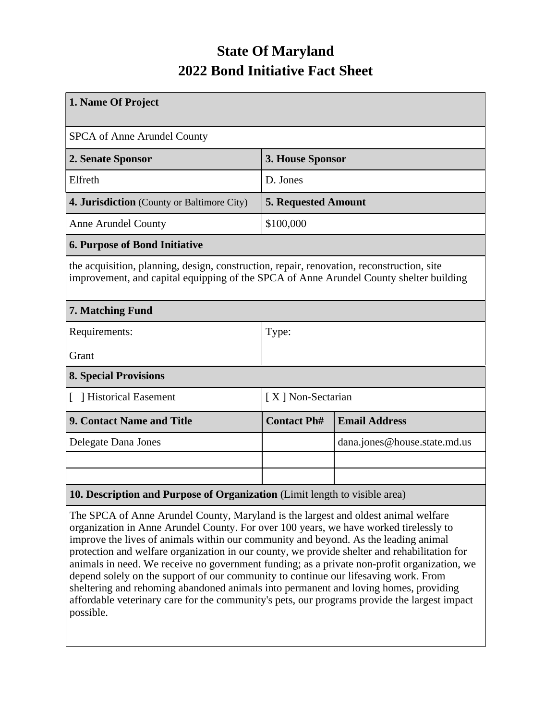## **State Of Maryland 2022 Bond Initiative Fact Sheet**

| 1. Name Of Project                                                                                                                                                                  |                            |                              |  |  |  |  |
|-------------------------------------------------------------------------------------------------------------------------------------------------------------------------------------|----------------------------|------------------------------|--|--|--|--|
| <b>SPCA of Anne Arundel County</b>                                                                                                                                                  |                            |                              |  |  |  |  |
| 2. Senate Sponsor                                                                                                                                                                   | 3. House Sponsor           |                              |  |  |  |  |
| Elfreth                                                                                                                                                                             | D. Jones                   |                              |  |  |  |  |
| 4. Jurisdiction (County or Baltimore City)                                                                                                                                          | <b>5. Requested Amount</b> |                              |  |  |  |  |
| <b>Anne Arundel County</b>                                                                                                                                                          | \$100,000                  |                              |  |  |  |  |
| <b>6. Purpose of Bond Initiative</b>                                                                                                                                                |                            |                              |  |  |  |  |
| the acquisition, planning, design, construction, repair, renovation, reconstruction, site<br>improvement, and capital equipping of the SPCA of Anne Arundel County shelter building |                            |                              |  |  |  |  |
| 7. Matching Fund                                                                                                                                                                    |                            |                              |  |  |  |  |
| Requirements:                                                                                                                                                                       | Type:                      |                              |  |  |  |  |
| Grant                                                                                                                                                                               |                            |                              |  |  |  |  |
| <b>8. Special Provisions</b>                                                                                                                                                        |                            |                              |  |  |  |  |
| [ ] Historical Easement                                                                                                                                                             | [X] Non-Sectarian          |                              |  |  |  |  |
| 9. Contact Name and Title                                                                                                                                                           | <b>Contact Ph#</b>         | <b>Email Address</b>         |  |  |  |  |
| Delegate Dana Jones                                                                                                                                                                 |                            | dana.jones@house.state.md.us |  |  |  |  |
|                                                                                                                                                                                     |                            |                              |  |  |  |  |
|                                                                                                                                                                                     |                            |                              |  |  |  |  |
| 10. Description and Purpose of Organization (Limit length to visible area)                                                                                                          |                            |                              |  |  |  |  |

The SPCA of Anne Arundel County, Maryland is the largest and oldest animal welfare organization in Anne Arundel County. For over 100 years, we have worked tirelessly to improve the lives of animals within our community and beyond. As the leading animal protection and welfare organization in our county, we provide shelter and rehabilitation for animals in need. We receive no government funding; as a private non-profit organization, we depend solely on the support of our community to continue our lifesaving work. From sheltering and rehoming abandoned animals into permanent and loving homes, providing affordable veterinary care for the community's pets, our programs provide the largest impact possible.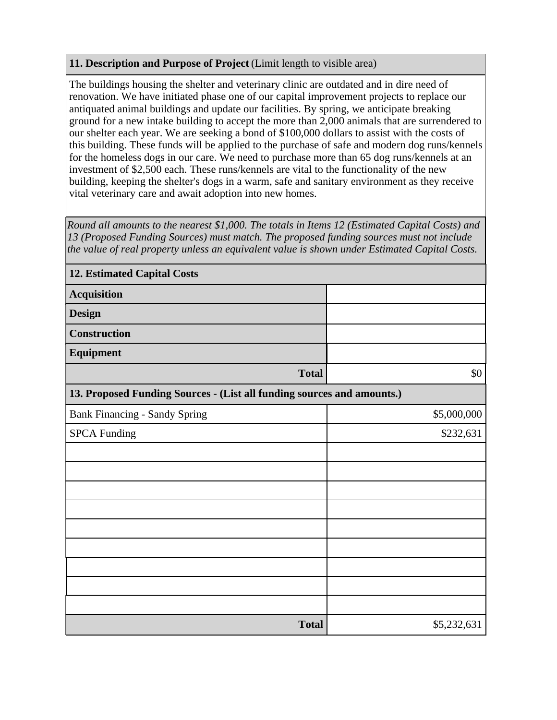## **11. Description and Purpose of Project** (Limit length to visible area)

The buildings housing the shelter and veterinary clinic are outdated and in dire need of renovation. We have initiated phase one of our capital improvement projects to replace our antiquated animal buildings and update our facilities. By spring, we anticipate breaking ground for a new intake building to accept the more than 2,000 animals that are surrendered to our shelter each year. We are seeking a bond of \$100,000 dollars to assist with the costs of this building. These funds will be applied to the purchase of safe and modern dog runs/kennels for the homeless dogs in our care. We need to purchase more than 65 dog runs/kennels at an investment of \$2,500 each. These runs/kennels are vital to the functionality of the new building, keeping the shelter's dogs in a warm, safe and sanitary environment as they receive vital veterinary care and await adoption into new homes.

*Round all amounts to the nearest \$1,000. The totals in Items 12 (Estimated Capital Costs) and 13 (Proposed Funding Sources) must match. The proposed funding sources must not include the value of real property unless an equivalent value is shown under Estimated Capital Costs.*

| <b>12. Estimated Capital Costs</b>                                     |             |  |  |  |  |  |
|------------------------------------------------------------------------|-------------|--|--|--|--|--|
| <b>Acquisition</b>                                                     |             |  |  |  |  |  |
| <b>Design</b>                                                          |             |  |  |  |  |  |
| Construction                                                           |             |  |  |  |  |  |
| Equipment                                                              |             |  |  |  |  |  |
| <b>Total</b>                                                           | $\$0$       |  |  |  |  |  |
| 13. Proposed Funding Sources - (List all funding sources and amounts.) |             |  |  |  |  |  |
| <b>Bank Financing - Sandy Spring</b>                                   | \$5,000,000 |  |  |  |  |  |
| <b>SPCA Funding</b>                                                    | \$232,631   |  |  |  |  |  |
|                                                                        |             |  |  |  |  |  |
|                                                                        |             |  |  |  |  |  |
|                                                                        |             |  |  |  |  |  |
|                                                                        |             |  |  |  |  |  |
|                                                                        |             |  |  |  |  |  |
|                                                                        |             |  |  |  |  |  |
|                                                                        |             |  |  |  |  |  |
|                                                                        |             |  |  |  |  |  |
|                                                                        |             |  |  |  |  |  |
| <b>Total</b>                                                           | \$5,232,631 |  |  |  |  |  |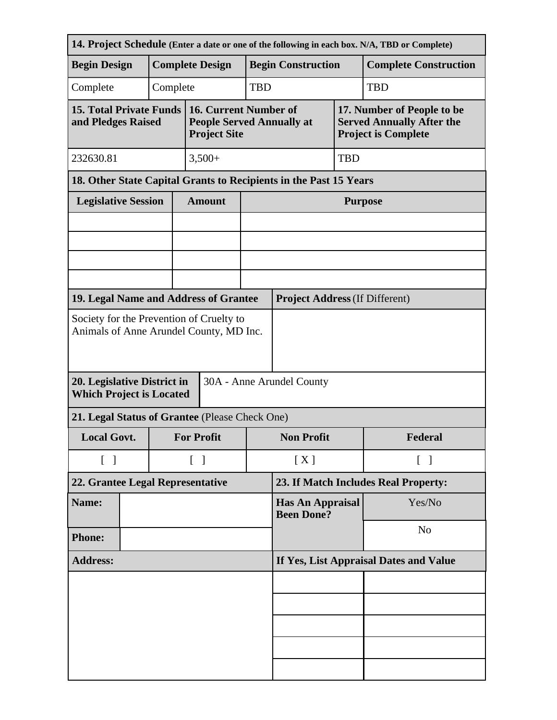| 14. Project Schedule (Enter a date or one of the following in each box. N/A, TBD or Complete)                                          |                                                                   |                    |                                        |                                                                                  |                                              |                                       |            |                                                                                              |  |
|----------------------------------------------------------------------------------------------------------------------------------------|-------------------------------------------------------------------|--------------------|----------------------------------------|----------------------------------------------------------------------------------|----------------------------------------------|---------------------------------------|------------|----------------------------------------------------------------------------------------------|--|
| <b>Begin Design</b>                                                                                                                    |                                                                   |                    | <b>Complete Design</b>                 |                                                                                  |                                              | <b>Begin Construction</b>             |            | <b>Complete Construction</b>                                                                 |  |
| Complete                                                                                                                               |                                                                   | Complete           | <b>TBD</b>                             |                                                                                  |                                              |                                       |            | <b>TBD</b>                                                                                   |  |
| <b>15. Total Private Funds</b><br>and Pledges Raised                                                                                   |                                                                   |                    |                                        | 16. Current Number of<br><b>People Served Annually at</b><br><b>Project Site</b> |                                              |                                       |            | 17. Number of People to be<br><b>Served Annually After the</b><br><b>Project is Complete</b> |  |
| 232630.81                                                                                                                              |                                                                   |                    |                                        |                                                                                  | $3,500+$                                     |                                       | <b>TBD</b> |                                                                                              |  |
|                                                                                                                                        | 18. Other State Capital Grants to Recipients in the Past 15 Years |                    |                                        |                                                                                  |                                              |                                       |            |                                                                                              |  |
| <b>Legislative Session</b>                                                                                                             |                                                                   |                    |                                        | <b>Amount</b>                                                                    |                                              | <b>Purpose</b>                        |            |                                                                                              |  |
|                                                                                                                                        |                                                                   |                    |                                        |                                                                                  |                                              |                                       |            |                                                                                              |  |
|                                                                                                                                        |                                                                   |                    |                                        |                                                                                  |                                              |                                       |            |                                                                                              |  |
|                                                                                                                                        |                                                                   |                    |                                        |                                                                                  |                                              |                                       |            |                                                                                              |  |
| 19. Legal Name and Address of Grantee                                                                                                  |                                                                   |                    |                                        |                                                                                  |                                              | <b>Project Address (If Different)</b> |            |                                                                                              |  |
| Animals of Anne Arundel County, MD Inc.<br>20. Legislative District in<br>30A - Anne Arundel County<br><b>Which Project is Located</b> |                                                                   |                    |                                        |                                                                                  |                                              |                                       |            |                                                                                              |  |
| 21. Legal Status of Grantee (Please Check One)                                                                                         |                                                                   |                    |                                        |                                                                                  |                                              |                                       |            |                                                                                              |  |
| <b>Local Govt.</b>                                                                                                                     |                                                                   |                    | <b>For Profit</b>                      |                                                                                  | <b>Non Profit</b>                            |                                       | Federal    |                                                                                              |  |
| $\begin{bmatrix} 1 \end{bmatrix}$                                                                                                      |                                                                   | $\lceil \; \rceil$ |                                        | [X]                                                                              |                                              | $\lceil \; \rceil$                    |            |                                                                                              |  |
| 22. Grantee Legal Representative                                                                                                       |                                                                   |                    |                                        |                                                                                  | 23. If Match Includes Real Property:         |                                       |            |                                                                                              |  |
| Name:                                                                                                                                  |                                                                   |                    |                                        |                                                                                  | <b>Has An Appraisal</b><br><b>Been Done?</b> |                                       |            | Yes/No                                                                                       |  |
| <b>Phone:</b>                                                                                                                          |                                                                   |                    |                                        |                                                                                  |                                              |                                       |            | N <sub>o</sub>                                                                               |  |
| <b>Address:</b>                                                                                                                        |                                                                   |                    | If Yes, List Appraisal Dates and Value |                                                                                  |                                              |                                       |            |                                                                                              |  |
|                                                                                                                                        |                                                                   |                    |                                        |                                                                                  |                                              |                                       |            |                                                                                              |  |
|                                                                                                                                        |                                                                   |                    |                                        |                                                                                  |                                              |                                       |            |                                                                                              |  |
|                                                                                                                                        |                                                                   |                    |                                        |                                                                                  |                                              |                                       |            |                                                                                              |  |
|                                                                                                                                        |                                                                   |                    |                                        |                                                                                  |                                              |                                       |            |                                                                                              |  |
|                                                                                                                                        |                                                                   |                    |                                        |                                                                                  |                                              |                                       |            |                                                                                              |  |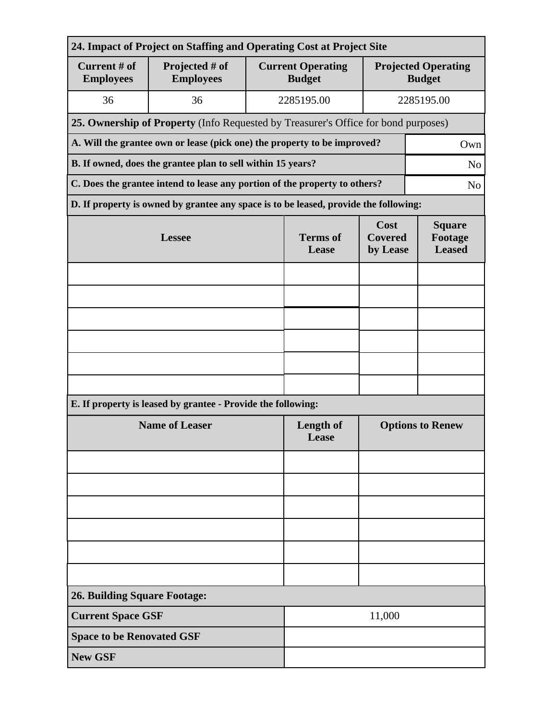| 24. Impact of Project on Staffing and Operating Cost at Project Site            |                                                                                      |                          |                                           |                                             |                |  |  |  |  |
|---------------------------------------------------------------------------------|--------------------------------------------------------------------------------------|--------------------------|-------------------------------------------|---------------------------------------------|----------------|--|--|--|--|
| Current # of<br><b>Employees</b>                                                | Projected # of<br><b>Employees</b>                                                   |                          | <b>Current Operating</b><br><b>Budget</b> | <b>Projected Operating</b><br><b>Budget</b> |                |  |  |  |  |
| 36                                                                              | 36                                                                                   |                          | 2285195.00                                | 2285195.00                                  |                |  |  |  |  |
|                                                                                 | 25. Ownership of Property (Info Requested by Treasurer's Office for bond purposes)   |                          |                                           |                                             |                |  |  |  |  |
| A. Will the grantee own or lease (pick one) the property to be improved?<br>Own |                                                                                      |                          |                                           |                                             |                |  |  |  |  |
| B. If owned, does the grantee plan to sell within 15 years?<br>N <sub>o</sub>   |                                                                                      |                          |                                           |                                             |                |  |  |  |  |
|                                                                                 | C. Does the grantee intend to lease any portion of the property to others?           |                          |                                           |                                             | N <sub>o</sub> |  |  |  |  |
|                                                                                 | D. If property is owned by grantee any space is to be leased, provide the following: |                          |                                           |                                             |                |  |  |  |  |
|                                                                                 | <b>Lessee</b>                                                                        | <b>Terms of</b><br>Lease | Cost<br><b>Covered</b><br>by Lease        | <b>Square</b><br>Footage<br><b>Leased</b>   |                |  |  |  |  |
|                                                                                 |                                                                                      |                          |                                           |                                             |                |  |  |  |  |
|                                                                                 |                                                                                      |                          |                                           |                                             |                |  |  |  |  |
|                                                                                 |                                                                                      |                          |                                           |                                             |                |  |  |  |  |
|                                                                                 |                                                                                      |                          |                                           |                                             |                |  |  |  |  |
|                                                                                 |                                                                                      |                          |                                           |                                             |                |  |  |  |  |
|                                                                                 |                                                                                      |                          |                                           |                                             |                |  |  |  |  |
|                                                                                 | E. If property is leased by grantee - Provide the following:                         |                          |                                           |                                             |                |  |  |  |  |
| <b>Name of Leaser</b>                                                           |                                                                                      |                          | <b>Length of</b><br>Lease                 | <b>Options to Renew</b>                     |                |  |  |  |  |
|                                                                                 |                                                                                      |                          |                                           |                                             |                |  |  |  |  |
|                                                                                 |                                                                                      |                          |                                           |                                             |                |  |  |  |  |
|                                                                                 |                                                                                      |                          |                                           |                                             |                |  |  |  |  |
|                                                                                 |                                                                                      |                          |                                           |                                             |                |  |  |  |  |
|                                                                                 |                                                                                      |                          |                                           |                                             |                |  |  |  |  |
|                                                                                 |                                                                                      |                          |                                           |                                             |                |  |  |  |  |
| <b>26. Building Square Footage:</b>                                             |                                                                                      |                          |                                           |                                             |                |  |  |  |  |
|                                                                                 | <b>Current Space GSF</b><br>11,000                                                   |                          |                                           |                                             |                |  |  |  |  |
| <b>Space to be Renovated GSF</b>                                                |                                                                                      |                          |                                           |                                             |                |  |  |  |  |
| <b>New GSF</b>                                                                  |                                                                                      |                          |                                           |                                             |                |  |  |  |  |